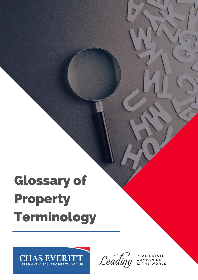# **Glossary of Property Terminology**





REAL ESTATE COMPANIES WORLD<sup>"</sup>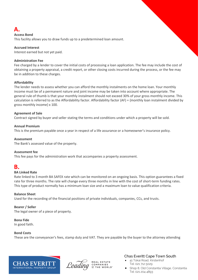## **A.**

#### **Access Bond**

This facility allows you to draw funds up to a predetermined loan amount.

#### **Accrued Interest**

Interest earned but not yet paid.

#### **Administration Fee**

Fee charged by a lender to cover the initial costs of processing a loan application. The fee may include the cost of obtaining a property appraisal, a credit report, or other closing costs incurred during the process, or the fee may be in addition to these charges.

#### **Affordability**

The lender needs to assess whether you can afford the monthly instalments on the home loan. Your monthly income must be of a permanent nature and joint income may be taken into account where appropriate. The general rule of thumb is that your monthly instalment should not exceed 30% of your gross monthly income. This calculation is referred to as the Affordability factor. Affordability factor (AF) = {monthly loan instalment divided by gross monthly income} x 100.

#### **Agreement of Sale**

Contract signed by buyer and seller stating the terms and conditions under which a property will be sold.

#### **Annual Premium**

This is the premium payable once a year in respect of a life assurance or a homeowner's insurance policy.

#### **Assessment**

The Bank's assessed value of the property.

#### **Assessment fee**

This fee pays for the administration work that accompanies a property assessment.

## **B.**

#### **BA Linked Rate**

Rate linked to 3 month BA SAFEX rate which can be monitored on an ongoing basis. This option guarantees a fixed rate for three months. The rate will change every three months in line with the cost of short-term funding rates. This type of product normally has a minimum loan size and a maximum loan to value qualification criteria.

#### **Balance Sheet**

Used for the recording of the financial positions of private individuals, companies, CCs, and trusts.

#### **Bearer / Seller**

The legal owner of a piece of property.

#### **Bona Fide**

In good faith.

#### **Bond Costs**

These are the conveyancer's fees, stamp duty and VAT. They are payable by the buyer to the attorney attending





- 41 Tokai Road, Kirstenhof Tel: 021 712 5029
- Shop 8, Old Constantia Village, Constantia Tel: 021 204 4893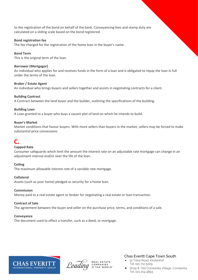to the registration of the bond on behalf of the bank. Conveyancing fees and stamp duty are calculated on a sliding scale based on the bond registered.

#### **Bond registration fee**

The fee charged for the registration of the home loan in the buyer's name.

#### **Bond Term**

This is the original term of the loan.

#### **Borrower (Mortgagor)**

An individual who applies for and receives funds in the form of a loan and is obligated to repay the loan in full under the terms of the loan.

#### **Broker / Estate Agent**

An individual who brings buyers and sellers together and assists in negotiating contracts for a client.

#### **Building Contract**

A Contract between the land buyer and the builder, outlining the specifications of the building.

#### **Building Loan**

A Loan granted to a buyer who buys a vacant plot of land on which he intends to build.

#### **Buyer's Market**

Market conditions that favour buyers. With more sellers than buyers in the market, sellers may be forced to make substantial price concessions.

## **C.**

#### **Capped Rate**

Consumer safeguards which limit the amount the interest rate on an adjustable rate mortgage can change in an adjustment interval and/or over the life of the loan.

#### **Ceiling**

The maximum allowable interest rate of a variable rate mortgage.

#### **Collateral**

Assets (such as your home) pledged as security for a home loan.

#### **Commission**

Money paid to a real estate agent or broker for negotiating a real estate or loan transaction.

#### **Contract of Sale**

The agreement between the buyer and seller on the purchase price, terms, and conditions of a sale.

#### **Conveyance**

The document used to effect a transfer, such as a deed, or mortgage.



Leading

COMPANIES

- 41 Tokai Road, Kirstenhof Tel: 021 712 5029
- Shop 8, Old Constantia Village, Constantia Tel: 021 204 4893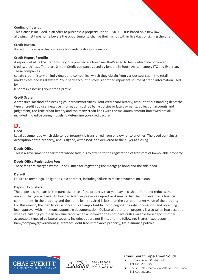#### **Cooling off period**

This clause is included in an offer to purchase a property under R250 000. It is based on a new law allowing first time home buyers the opportunity to change their minds within five days of signing the offer.

#### **Credit Bureau**

A credit bureau is a clearinghouse for credit history information.

#### **Credit Report / profile**

A report detailing the credit history of a prospective borrower that's used to help determine borrower creditworthiness. There are 2 main Credit companies used by lenders in South Africa, namely ITC and Experian. These companies

collate credit history on individuals and companies, which they obtain from various sources in the retail marketplace and legal system. Your bank account history is another important source of credit information used by

lenders in assessing your credit profile.

#### **Credit Score**

A statistical method of assessing your creditworthiness. Your credit card history; amount of outstanding debt; the type of credit you use; negative information such as bankruptcies or late payments; collection accounts and judgement; too little credit history and too many credit lines with the maximum amount borrowed are all included in credit-scoring models to determine your credit score.

## **D.**

#### **Deed**

Legal document by which title to real property is transferred from one owner to another. The deed contains a description of the property, and is signed, witnessed, and delivered to the buyer at closing.

#### **Deeds Office**

This is a government department whose task it is to attend to the registration of transfers of Immovable property

#### **Deeds Office Registration Fees**

These fees are charged by the Deeds Office for registering the mortgage bond and the title deed.

#### **Default**

Failure to meet legal obligations in a contract, including failure to make payments on a loan.

#### **Deposit / collateral**

The deposit is the part of the purchase price of the property that you pay in cash up front and reduces the amount that you will need to borrow. A lender prefers a deposit as it means that the borrower has a financial commitment, in the property and the home loan required is less than the current market value of the property. For this reason, the loan to value concept is an important factor in negotiating rate concessions and obtaining loan approval with minimum supporting documentation. Collateral other than property is also taken into account when calculating your loan to value ratio. When a borrower does not have cash available for a deposit, other acceptable types of collateral security include, but are not limited to the following: Shares, fixed deposit, bank/company/government guarantees, debt free immovable property, life assurance policies.





- 41 Tokai Road, Kirstenhof Tel: 021 712 5029
- Shop 8, Old Constantia Village, Constantia Tel: 021 204 4893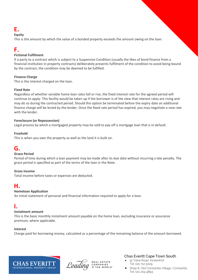## **E.**

#### **Equity**

This is the amount by which the value of a bonded property exceeds the amount owing on the loan.

## **F.**

#### **Fictional Fulfilment**

If a party to a contract which is subject to a Suspensive Condition (usually the likes of bond finance from a financial institution in property contracts) deliberately prevents fulfilment of the condition to avoid being bound by the contract, the condition may be deemed to be fulfilled.

#### **Finance Charge**

This is the interest charged on the loan.

#### **Fixed Rate**

Regardless of whether variable home loan rates fall or rise, the fixed interest rate for the agreed period will continue to apply. This facility would be taken up if the borrower is of the view that interest rates are rising and may do so during the contracted period. Should this option be terminated before the expiry date an additional finance charge will be levied by the lender. Once the fixed rate period has expired, you may negotiate a new rate with the lender.

#### **Foreclosure (or Repossession)**

Legal process by which a mortgaged property may be sold to pay off a mortgage loan that is in default.

#### **Freehold**

This is when you own the property as well as the land it is built on.

## **G.**

#### **Grace Period**

Period of time during which a loan payment may be made after its due date without incurring a late penalty. The grace period is specified as part of the terms of the loan in the Note.

#### **Gross Income**

Total income before taxes or expenses are deducted.

## **H.**

#### **Homeloan Application**

An initial statement of personal and financial information required to apply for a loan.

## **I.**

#### **Instalment amount**

This is the basic monthly instalment amount payable on the home loan, excluding insurance or assurance premium, where applicable.

#### **Interest**

Charge paid for borrowing money, calculated as a percentage of the remaining balance of the amount borrowed.





- 41 Tokai Road, Kirstenhof Tel: 021 712 5029
- Shop 8, Old Constantia Village, Constantia Tel: 021 204 4893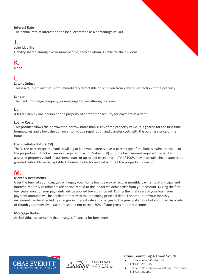#### **Interest Rate**

The annual rate of interest on the loan, expressed as a percentage of 100.

## **J.**

#### **Joint Liability**

Liability shared among two or more people, each of whom is liable for the full debt.

## **K.**

None

## **L.**

#### **Latent Defect**

This is a fault or flaw that is not immediately detectable or is hidden from view on inspection of the property.

#### **Lender**

The bank, mortgage company, or mortgage broker offering the loan.

#### **Lien**

A legal claim by one person on the property of another for security for payment of a debt.

#### **Loan + Costs**

This product allows the borrower to borrow more than 100% of the property value. It is geared for the first-time homeowner and allows the borrower to include registration and transfer costs with the purchase price of the home.

#### **Loan-to-Value Ratio (LTV)**

This is the percentage the bank is willing to lend you, expressed as a percentage of the bank's estimated value of the property and the loan amount required. Loan to Value (LTV) = [home loan amount required divided by assessed property value] x 100 Home loans of up to and exceeding a LTV of 100% may in certain circumstances be granted, subject to an acceptable Affordability Factor and valuation of the property in question.

## **M.**

#### **Monthly instalments**

Over the term of your loan, you will repay your home loan by way of regular monthly payments of principal and interest. Monthly instalments are normally paid to the lender via debit order from your account. During the first few years, most of your payments will be applied towards interest. During the final years of your loan, your payment amounts will be applied primarily to the remaining principal debt. The amount of your monthly instalment can be affected by changes in interest rate and changes to the principal amount of your loan. As a rule of thumb your monthly instalment should not exceed 30% of your gross monthly income.

#### **Mortgage Broker**

An individual or company that arranges financing for borrowers.





- 41 Tokai Road, Kirstenhof Tel: 021 712 5029
- Shop 8, Old Constantia Village, Constantia Tel: 021 204 4893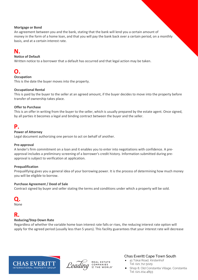#### **Mortgage or Bond**

An agreement between you and the bank, stating that the bank will lend you a certain amount of money in the form of a home loan, and that you will pay the bank back over a certain period, on a monthly basis, and at a certain interest rate.

## **N.**

#### **Notice of Default**

Written notice to a borrower that a default has occurred and that legal action may be taken.

## **O.**

#### **Occupation**

This is the date the buyer moves into the property.

#### **Occupational Rental**

This is paid by the buyer to the seller at an agreed amount, if the buyer decides to move into the property before transfer of ownership takes place.

#### **Offer to Purchase**

This is an offer in writing from the buyer to the seller, which is usually prepared by the estate agent. Once signed, by all parties it becomes a legal and binding contract between the buyer and the seller.

## **P.**

#### **Power of Attorney**

Legal document authorizing one person to act on behalf of another.

#### **Pre-approval**

A lender's firm commitment on a loan and it enables you to enter into negotiations with confidence. A preapproval includes a preliminary screening of a borrower's credit history. Information submitted during preapproval is subject to verification at application.

#### **Prequalification**

Prequalifying gives you a general idea of your borrowing power. It is the process of determining how much money you will be eligible to borrow.

#### **Purchase Agreement / Deed of Sale**

Contract signed by buyer and seller stating the terms and conditions under which a property will be sold.

# **Q.**

None

## **R.**

#### **Reducing/Step Down Rate**

Regardless of whether the variable home loan interest rate falls or rises, the reducing interest rate option will apply for the agreed period (usually less than 5 years). This facility guarantees that your interest rate will decrease



Leading

COMPANIES

- 41 Tokai Road, Kirstenhof Tel: 021 712 5029
- Shop 8, Old Constantia Village, Constantia Tel: 021 204 4893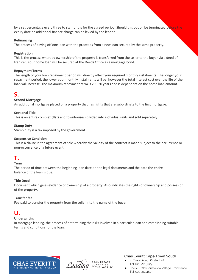by a set percentage every three to six months for the agreed period. Should this option be terminated before the expiry date an additional finance charge can be levied by the lender.

#### **Refinancing**

The process of paying off one loan with the proceeds from a new loan secured by the same property.

#### **Registration**

This is the process whereby ownership of the property is transferred from the seller to the buyer via a deed of transfer. Your home loan will be secured at the Deeds Office as a mortgage bond.

#### **Repayment Terms**

The length of your loan repayment period will directly affect your required monthly instalments. The longer your repayment period, the lower your monthly instalments will be, however the total interest cost over the life of the loan will increase. The maximum repayment term is 20 - 30 years and is dependent on the home loan amount.

## **S.**

#### **Second Mortgage**

An additional mortgage placed on a property that has rights that are subordinate to the first mortgage.

#### **Sectional Title**

This is an entire complex (flats and townhouses) divided into individual units and sold separately.

#### **Stamp Duty**

Stamp duty is a tax imposed by the government.

#### **Suspensive Condition**

This is a clause in the agreement of sale whereby the validity of the contract is made subject to the occurrence or non-occurrence of a future event.

## **T.**

#### **Term**

The period of time between the beginning loan date on the legal documents and the date the entire balance of the loan is due.

#### **Title Deed**

Document which gives evidence of ownership of a property. Also indicates the rights of ownership and possession of the property.

#### **Transfer fee**

Fee paid to transfer the property from the seller into the name of the buyer.

## **U.**

#### **Underwriting**

In mortgage lending, the process of determining the risks involved in a particular loan and establishing suitable terms and conditions for the loan.





- 41 Tokai Road, Kirstenhof Tel: 021 712 5029
- Shop 8, Old Constantia Village, Constantia Tel: 021 204 4893